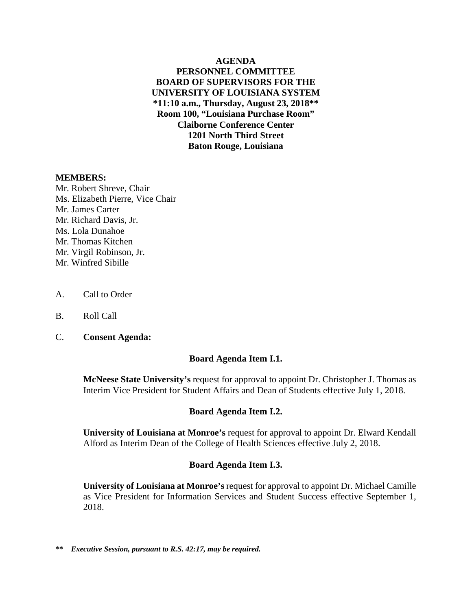**AGENDA PERSONNEL COMMITTEE BOARD OF SUPERVISORS FOR THE UNIVERSITY OF LOUISIANA SYSTEM \*11:10 a.m., Thursday, August 23, 2018\*\* Room 100, "Louisiana Purchase Room" Claiborne Conference Center 1201 North Third Street Baton Rouge, Louisiana**

#### **MEMBERS:**

Mr. Robert Shreve, Chair Ms. Elizabeth Pierre, Vice Chair Mr. James Carter Mr. Richard Davis, Jr. Ms. Lola Dunahoe Mr. Thomas Kitchen Mr. Virgil Robinson, Jr. Mr. Winfred Sibille

- A. Call to Order
- B. Roll Call
- C. **Consent Agenda:**

## **Board Agenda Item I.1.**

**McNeese State University's** request for approval to appoint Dr. Christopher J. Thomas as [Interim Vice President for Student Affairs and Dean of Students effective July 1, 2018.](#page-2-0)

## **Board Agenda Item I.2.**

**University of Louisiana at Monroe's** request for approval to appoint Dr. Elward Kendall [Alford as Interim Dean of the College of Health Sciences effective July 2, 2018.](#page-10-0) 

## **Board Agenda Item I.3.**

**University of Louisiana at Monroe's** request for approval to appoint Dr. Michael Camille [as Vice President for Information Services and Student Success effective September 1,](#page-19-0)  2018.

**\*\*** *Executive Session, pursuant to R.S. 42:17, may be required.*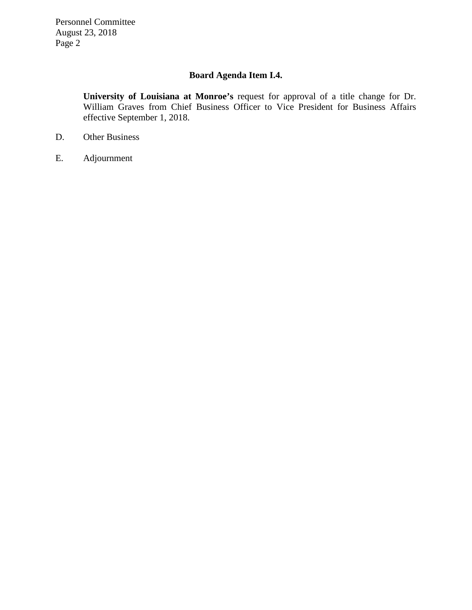Personnel Committee August 23, 2018 Page 2

## **Board Agenda Item I.4.**

**University of Louisiana at Monroe's** request for approval of a title change for Dr. [William Graves from Chief Business Officer to Vice President for Business Affairs](#page-24-0)  effective September 1, 2018.

- D. Other Business
- E. Adjournment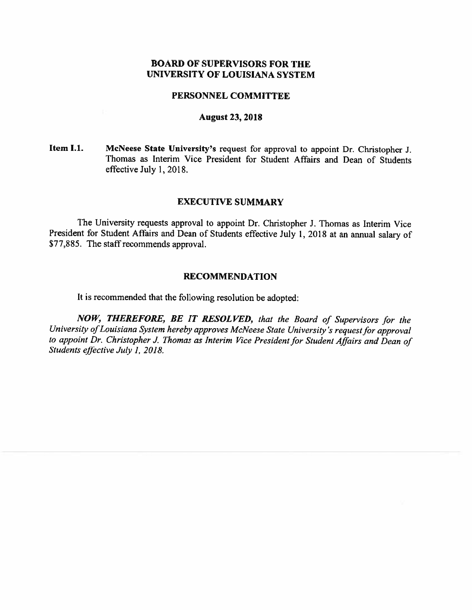## **BOARD OF SUPERVISORS FOR THE** UNIVERSITY OF LOUISIANA SYSTEM

#### PERSONNEL COMMITTEE

#### **August 23, 2018**

Item I.1. McNeese State University's request for approval to appoint Dr. Christopher J. Thomas as Interim Vice President for Student Affairs and Dean of Students effective July 1, 2018.

### **EXECUTIVE SUMMARY**

The University requests approval to appoint Dr. Christopher J. Thomas as Interim Vice President for Student Affairs and Dean of Students effective July 1, 2018 at an annual salary of \$77,885. The staff recommends approval.

## **RECOMMENDATION**

It is recommended that the following resolution be adopted:

NOW, THEREFORE, BE IT RESOLVED, that the Board of Supervisors for the University of Louisiana System hereby approves McNeese State University's request for approval to appoint Dr. Christopher J. Thomas as Interim Vice President for Student Affairs and Dean of Students effective July 1, 2018.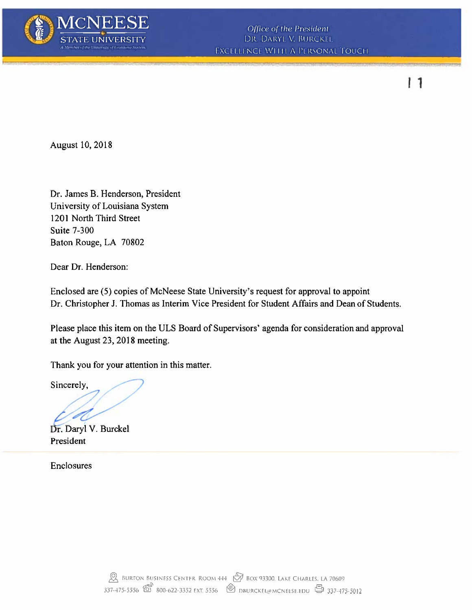

 $11$ 

August 10, 2018

Dr. James B. Henderson, President University of Louisiana System 1201 North Third Street **Suite 7-300** Baton Rouge, LA 70802

Dear Dr. Henderson:

Enclosed are (5) copies of McNeese State University's request for approval to appoint Dr. Christopher J. Thomas as Interim Vice President for Student Affairs and Dean of Students.

Please place this item on the ULS Board of Supervisors' agenda for consideration and approval at the August 23, 2018 meeting.

Thank you for your attention in this matter.

Sincerely,

Dr. Daryl V. Burckel President

Enclosures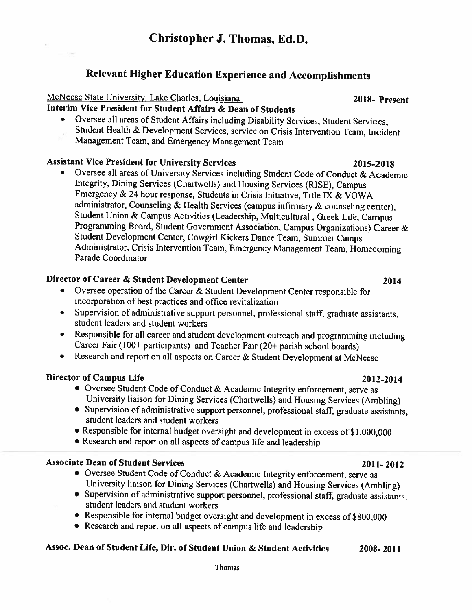## Relevant Higher Education Experience and Accomplishments

## McNeese State University, Lake Charles, Louisiana

## Interim Vice President for Student Affairs & Dean of Students

Oversee all areas of Student Affairs including Disability Services, Student Services,  $\bullet$ Student Health & Development Services, service on Crisis Intervention Team, Incident Management Team, and Emergency Management Team

## **Assistant Vice President for University Services**

Oversee all areas of University Services including Student Code of Conduct & Academic Integrity, Dining Services (Chartwells) and Housing Services (RISE), Campus Emergency & 24 hour response, Students in Crisis Initiative, Title IX & VOWA administrator, Counseling & Health Services (campus infirmary & counseling center), Student Union & Campus Activities (Leadership, Multicultural, Greek Life, Campus Programming Board, Student Government Association, Campus Organizations) Career & Student Development Center, Cowgirl Kickers Dance Team, Summer Camps Administrator, Crisis Intervention Team, Emergency Management Team, Homecoming Parade Coordinator

## Director of Career & Student Development Center

- Oversee operation of the Career & Student Development Center responsible for  $\bullet$ incorporation of best practices and office revitalization
- Supervision of administrative support personnel, professional staff, graduate assistants,  $\bullet$ student leaders and student workers
- Responsible for all career and student development outreach and programming including  $\bullet$ Career Fair (100+ participants) and Teacher Fair (20+ parish school boards)
- Research and report on all aspects on Career & Student Development at McNeese  $\bullet$

## **Director of Campus Life**

- Oversee Student Code of Conduct & Academic Integrity enforcement, serve as University liaison for Dining Services (Chartwells) and Housing Services (Ambling)
- Supervision of administrative support personnel, professional staff, graduate assistants, student leaders and student workers
- Responsible for internal budget oversight and development in excess of \$1,000,000
- Research and report on all aspects of campus life and leadership

## **Associate Dean of Student Services**

- Oversee Student Code of Conduct & Academic Integrity enforcement, serve as University liaison for Dining Services (Chartwells) and Housing Services (Ambling)
- Supervision of administrative support personnel, professional staff, graduate assistants, student leaders and student workers
- Responsible for internal budget oversight and development in excess of \$800,000
- Research and report on all aspects of campus life and leadership

#### Assoc. Dean of Student Life, Dir. of Student Union & Student Activities 2008-2011

## 2018- Present

## 2012-2014

 $2011 - 2012$ 

2014

## 2015-2018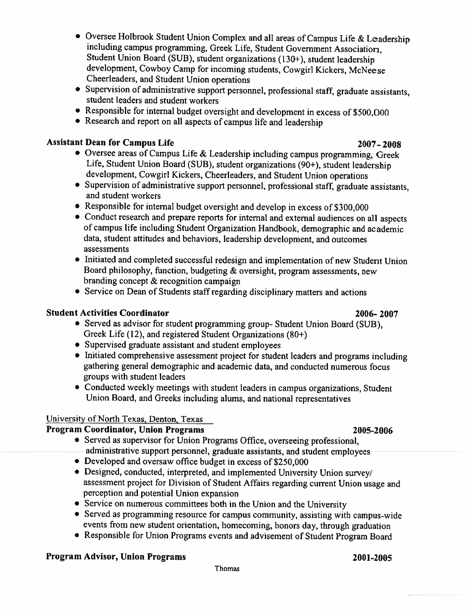- Oversee Holbrook Student Union Complex and all areas of Campus Life & Leadership including campus programming, Greek Life, Student Government Association, Student Union Board (SUB), student organizations (130+), student leadership development, Cowboy Camp for incoming students, Cowgirl Kickers, McNeese Cheerleaders, and Student Union operations
- Supervision of administrative support personnel, professional staff, graduate assistants, student leaders and student workers
- Responsible for internal budget oversight and development in excess of \$500,000
- Research and report on all aspects of campus life and leadership

## **Assistant Dean for Campus Life**

- Oversee areas of Campus Life & Leadership including campus programming, Greek Life, Student Union Board (SUB), student organizations (90+), student leadership development, Cowgirl Kickers, Cheerleaders, and Student Union operations
- Supervision of administrative support personnel, professional staff, graduate assistants, and student workers
- Responsible for internal budget oversight and develop in excess of \$300,000
- Conduct research and prepare reports for internal and external audiences on all aspects of campus life including Student Organization Handbook, demographic and academic data, student attitudes and behaviors, leadership development, and outcomes assessments
- Initiated and completed successful redesign and implementation of new Student Union Board philosophy, function, budgeting & oversight, program assessments, new branding concept & recognition campaign
- Service on Dean of Students staff regarding disciplinary matters and actions

## **Student Activities Coordinator**

- 2006-2007 • Served as advisor for student programming group- Student Union Board (SUB), Greek Life (12), and registered Student Organizations (80+)
- Supervised graduate assistant and student employees
- Initiated comprehensive assessment project for student leaders and programs including gathering general demographic and academic data, and conducted numerous focus groups with student leaders
- Conducted weekly meetings with student leaders in campus organizations, Student Union Board, and Greeks including alums, and national representatives

## University of North Texas, Denton, Texas

## **Program Coordinator, Union Programs**

- Served as supervisor for Union Programs Office, overseeing professional, administrative support personnel, graduate assistants, and student employees
- Developed and oversaw office budget in excess of \$250,000
- Designed, conducted, interpreted, and implemented University Union survey assessment project for Division of Student Affairs regarding current Union usage and perception and potential Union expansion
- Service on numerous committees both in the Union and the University
- Served as programming resource for campus community, assisting with campus-wide events from new student orientation, homecoming, honors day, through graduation
- Responsible for Union Programs events and advisement of Student Program Board

## **Program Advisor, Union Programs**

## 2007-2008

# 2001-2005

## 2005-2006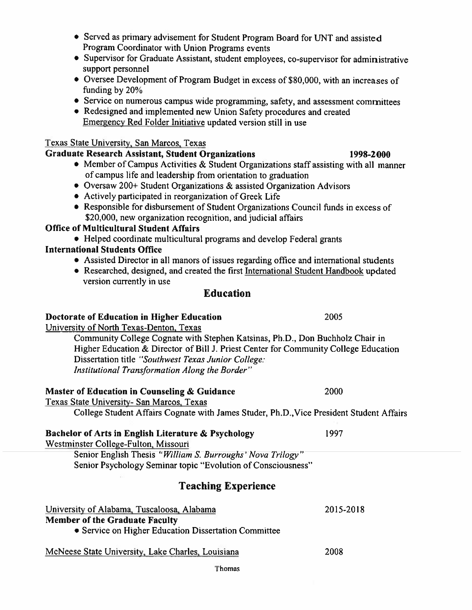- McNeese State University, Lake Charles, Louisiana
	- Thomas
- Served as primary advisement for Student Program Board for UNT and assisted Program Coordinator with Union Programs events
- Supervisor for Graduate Assistant, student employees, co-supervisor for administrative support personnel
- Oversee Development of Program Budget in excess of \$80,000, with an increases of funding by 20%
- Service on numerous campus wide programming, safety, and assessment committees
- Redesigned and implemented new Union Safety procedures and created Emergency Red Folder Initiative updated version still in use

## Texas State University, San Marcos, Texas

## **Graduate Research Assistant, Student Organizations**

- Member of Campus Activities & Student Organizations staff assisting with all manner of campus life and leadership from orientation to graduation
- Oversaw 200+ Student Organizations & assisted Organization Advisors
- Actively participated in reorganization of Greek Life
- Responsible for disbursement of Student Organizations Council funds in excess of \$20,000, new organization recognition, and judicial affairs

## **Office of Multicultural Student Affairs**

• Helped coordinate multicultural programs and develop Federal grants

## **International Students Office**

- Assisted Director in all manors of issues regarding office and international students
- Researched, designed, and created the first International Student Handbook updated version currently in use

## **Education**

## Doctorate of Education in Higher Education

University of North Texas-Denton, Texas

Community College Cognate with Stephen Katsinas, Ph.D., Don Buchholz Chair in Higher Education & Director of Bill J. Priest Center for Community College Education Dissertation title "Southwest Texas Junior College: Institutional Transformation Along the Border"

## Master of Education in Counseling & Guidance

Texas State University- San Marcos, Texas College Student Affairs Cognate with James Studer, Ph.D., Vice President Student Affairs

## **Bachelor of Arts in English Literature & Psychology**

Westminster College-Fulton, Missouri

Senior English Thesis "William S. Burroughs" Nova Trilogy" Senior Psychology Seminar topic "Evolution of Consciousness"

## **Teaching Experience**

| University of Alabama, Tuscaloosa, Alabama           |  |
|------------------------------------------------------|--|
| <b>Member of the Graduate Faculty</b>                |  |
| • Service on Higher Education Dissertation Committee |  |

## 1998-2000

2000

2005

1997

2015-2018

2008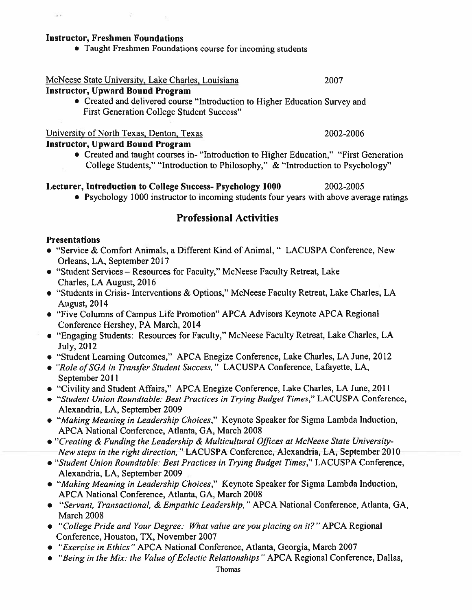## **Instructor, Freshmen Foundations**

• Taught Freshmen Foundations course for incoming students

## McNeese State University, Lake Charles, Louisiana

## **Instructor, Upward Bound Program**

• Created and delivered course "Introduction to Higher Education Survey and **First Generation College Student Success"** 

## University of North Texas, Denton, Texas

## **Instructor, Upward Bound Program**

• Created and taught courses in-"Introduction to Higher Education," "First Generation" College Students," "Introduction to Philosophy," & "Introduction to Psychology"

#### Lecturer, Introduction to College Success- Psychology 1000 2002-2005

• Psychology 1000 instructor to incoming students four years with above average ratings

## **Professional Activities**

## **Presentations**

 $\rightarrow$ 

- "Service & Comfort Animals, a Different Kind of Animal, " LACUSPA Conference, New Orleans, LA, September 2017
- "Student Services Resources for Faculty," McNeese Faculty Retreat, Lake Charles, LA August, 2016
- "Students in Crisis- Interventions & Options," McNeese Faculty Retreat, Lake Charles, LA **August, 2014**
- "Five Columns of Campus Life Promotion" APCA Advisors Keynote APCA Regional Conference Hershey, PA March, 2014
- "Engaging Students: Resources for Faculty," McNeese Faculty Retreat, Lake Charles, LA July, 2012
- "Student Learning Outcomes." APCA Enegize Conference, Lake Charles, LA June, 2012
- "Role of SGA in Transfer Student Success," LACUSPA Conference, Lafayette, LA, September 2011
- "Civility and Student Affairs," APCA Enegize Conference, Lake Charles, LA June, 2011
- "Student Union Roundtable: Best Practices in Trying Budget Times," LACUSPA Conference, Alexandria, LA, September 2009
- "Making Meaning in Leadership Choices," Keynote Speaker for Sigma Lambda Induction, APCA National Conference, Atlanta, GA, March 2008
- "Creating & Funding the Leadership & Multicultural Offices at McNeese State University-New steps in the right direction," LACUSPA Conference, Alexandria, LA, September 2010
- "Student Union Roundtable: Best Practices in Trying Budget Times," LACUSPA Conference, Alexandria, LA, September 2009
- "Making Meaning in Leadership Choices," Keynote Speaker for Sigma Lambda Induction, APCA National Conference, Atlanta, GA, March 2008
- "Servant, Transactional, & Empathic Leadership," APCA National Conference, Atlanta, GA, March 2008
- "College Pride and Your Degree: What value are you placing on it?" APCA Regional Conference, Houston, TX, November 2007
- "Exercise in Ethics" APCA National Conference, Atlanta, Georgia, March 2007
- "Being in the Mix: the Value of Eclectic Relationships" APCA Regional Conference, Dallas,

2007

2002-2006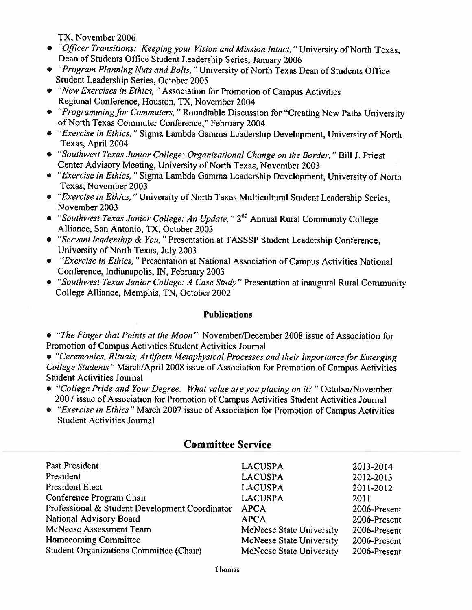TX, November 2006

- "Officer Transitions: Keeping your Vision and Mission Intact," University of North Texas, Dean of Students Office Student Leadership Series, January 2006
- "Program Planning Nuts and Bolts," University of North Texas Dean of Students Office Student Leadership Series, October 2005
- "New Exercises in Ethics," Association for Promotion of Campus Activities Regional Conference, Houston, TX, November 2004
- "Programming for Commuters," Roundtable Discussion for "Creating New Paths University of North Texas Commuter Conference," February 2004
- "Exercise in Ethics," Sigma Lambda Gamma Leadership Development, University of North Texas, April 2004
- "Southwest Texas Junior College: Organizational Change on the Border," Bill J. Priest Center Advisory Meeting, University of North Texas, November 2003
- "Exercise in Ethics," Sigma Lambda Gamma Leadership Development, University of North Texas, November 2003
- "Exercise in Ethics," University of North Texas Multicultural Student Leadership Series, November 2003
- "Southwest Texas Junior College: An Update," 2<sup>nd</sup> Annual Rural Community College Alliance, San Antonio, TX, October 2003
- "Servant leadership & You," Presentation at TASSSP Student Leadership Conference, University of North Texas, July 2003
- "Exercise in Ethics," Presentation at National Association of Campus Activities National Conference, Indianapolis, IN, February 2003
- "Southwest Texas Junior College: A Case Study" Presentation at inaugural Rural Community College Alliance, Memphis, TN, October 2002

## **Publications**

• "The Finger that Points at the Moon" November/December 2008 issue of Association for Promotion of Campus Activities Student Activities Journal

• "Ceremonies, Rituals, Artifacts Metaphysical Processes and their Importance for Emerging College Students" March/April 2008 issue of Association for Promotion of Campus Activities **Student Activities Journal** 

- "College Pride and Your Degree: What value are you placing on it?" October/November 2007 issue of Association for Promotion of Campus Activities Student Activities Journal
- "Exercise in Ethics" March 2007 issue of Association for Promotion of Campus Activities **Student Activities Journal**

| Past President                                 | <b>LACUSPA</b>           | 2013-2014    |
|------------------------------------------------|--------------------------|--------------|
| President                                      | <b>LACUSPA</b>           | 2012-2013    |
| President Elect                                | <b>LACUSPA</b>           | 2011-2012    |
| Conference Program Chair                       | <b>LACUSPA</b>           | 2011         |
| Professional & Student Development Coordinator | <b>APCA</b>              | 2006-Present |
| National Advisory Board                        | <b>APCA</b>              | 2006-Present |
| McNeese Assessment Team                        | McNeese State University | 2006-Present |
| <b>Homecoming Committee</b>                    | McNeese State University | 2006-Present |
| <b>Student Organizations Committee (Chair)</b> | McNeese State University | 2006-Present |
|                                                |                          |              |

## **Committee Service**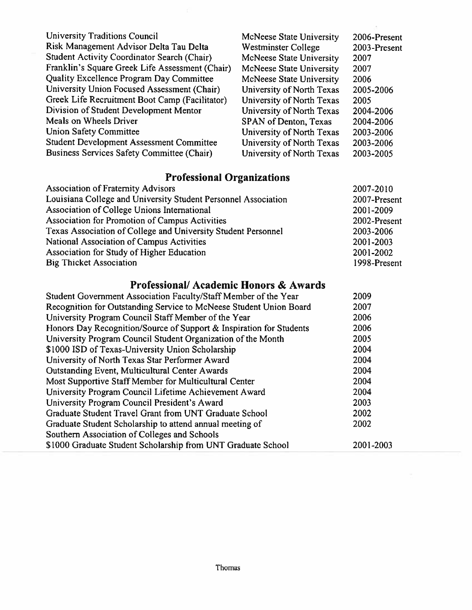| <b>University Traditions Council</b>            | McNeese State University  | 2006-Present |
|-------------------------------------------------|---------------------------|--------------|
| Risk Management Advisor Delta Tau Delta         | Westminster College       | 2003-Present |
| Student Activity Coordinator Search (Chair)     | McNeese State University  | 2007         |
| Franklin's Square Greek Life Assessment (Chair) | McNeese State University  | 2007         |
| Quality Excellence Program Day Committee        | McNeese State University  | 2006         |
| University Union Focused Assessment (Chair)     | University of North Texas | 2005-2006    |
| Greek Life Recruitment Boot Camp (Facilitator)  | University of North Texas | 2005         |
| Division of Student Development Mentor          | University of North Texas | 2004-2006    |
| Meals on Wheels Driver                          | SPAN of Denton, Texas     | 2004-2006    |
| <b>Union Safety Committee</b>                   | University of North Texas | 2003-2006    |
| <b>Student Development Assessment Committee</b> | University of North Texas | 2003-2006    |
| Business Services Safety Committee (Chair)      | University of North Texas | 2003-2005    |

## **Professional Organizations**

| $1.191$ . The state of the state of $1.01$                     |              |
|----------------------------------------------------------------|--------------|
| <b>Association of Fraternity Advisors</b>                      | 2007-2010    |
| Louisiana College and University Student Personnel Association | 2007-Present |
| Association of College Unions International                    | 2001-2009    |
| Association for Promotion of Campus Activities                 | 2002-Present |
| Texas Association of College and University Student Personnel  | 2003-2006    |
| National Association of Campus Activities                      | 2001-2003    |
| Association for Study of Higher Education                      | 2001-2002    |
| <b>Big Thicket Association</b>                                 | 1998-Present |
|                                                                |              |

## Professional/Academic Honors & Awards

| Student Government Association Faculty/Staff Member of the Year     | 2009      |
|---------------------------------------------------------------------|-----------|
| Recognition for Outstanding Service to McNeese Student Union Board  | 2007      |
| University Program Council Staff Member of the Year                 | 2006      |
| Honors Day Recognition/Source of Support & Inspiration for Students | 2006      |
| University Program Council Student Organization of the Month        | 2005      |
| \$1000 ISD of Texas-University Union Scholarship                    | 2004      |
| University of North Texas Star Performer Award                      | 2004      |
| <b>Outstanding Event, Multicultural Center Awards</b>               | 2004      |
| Most Supportive Staff Member for Multicultural Center               | 2004      |
| University Program Council Lifetime Achievement Award               | 2004      |
| University Program Council President's Award                        | 2003      |
| Graduate Student Travel Grant from UNT Graduate School              | 2002      |
| Graduate Student Scholarship to attend annual meeting of            | 2002      |
| Southern Association of Colleges and Schools                        |           |
| \$1000 Graduate Student Scholarship from UNT Graduate School        | 2001-2003 |
|                                                                     |           |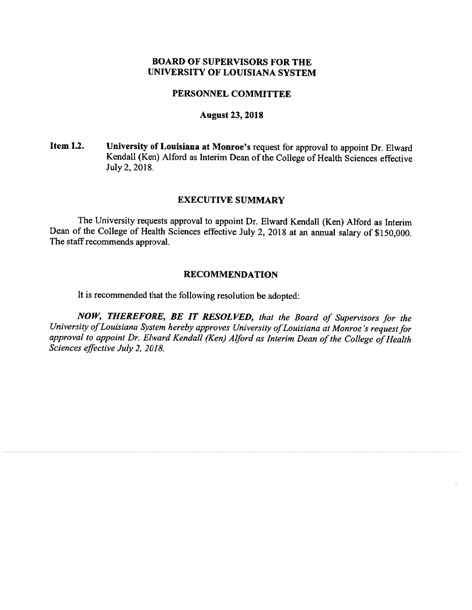## **BOARD OF SUPERVISORS FOR THE** UNIVERSITY OF LOUISIANA SYSTEM

## PERSONNEL COMMITTEE

## **August 23, 2018**

#### University of Louisiana at Monroe's request for approval to appoint Dr. Elward Item I.2. Kendall (Ken) Alford as Interim Dean of the College of Health Sciences effective July 2, 2018.

## **EXECUTIVE SUMMARY**

The University requests approval to appoint Dr. Elward Kendall (Ken) Alford as Interim Dean of the College of Health Sciences effective July 2, 2018 at an annual salary of \$150,000. The staff recommends approval.

#### **RECOMMENDATION**

It is recommended that the following resolution be adopted:

NOW, THEREFORE, BE IT RESOLVED, that the Board of Supervisors for the University of Louisiana System hereby approves University of Louisiana at Monroe's request for approval to appoint Dr. Elward Kendall (Ken) Alford as Interim Dean of the College of Health Sciences effective July 2, 2018.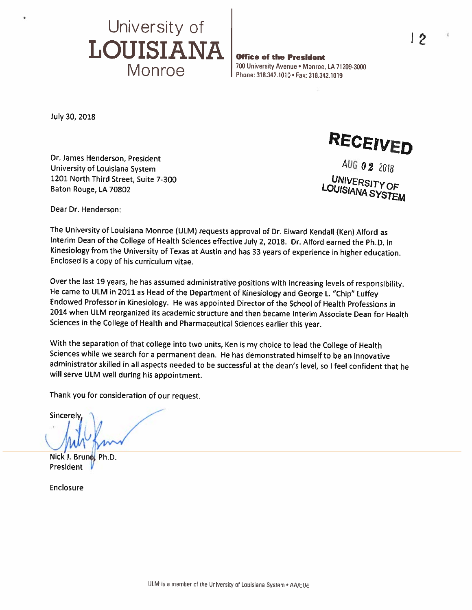

**Office of the President** 700 University Avenue . Monroe, LA 71209-3000 Phone: 318.342.1010 . Fax: 318.342.1019

July 30, 2018

Dr. James Henderson, President University of Louisiana System 1201 North Third Street, Suite 7-300 Baton Rouge, LA 70802

RECEIVED

AUG 02 2018 **UNIVERSITY OF** LOUISIANA SYSTEM

Dear Dr. Henderson:

The University of Louisiana Monroe (ULM) requests approval of Dr. Elward Kendall (Ken) Alford as Interim Dean of the College of Health Sciences effective July 2, 2018. Dr. Alford earned the Ph.D. in Kinesiology from the University of Texas at Austin and has 33 years of experience in higher education. Enclosed is a copy of his curriculum vitae.

Over the last 19 years, he has assumed administrative positions with increasing levels of responsibility. He came to ULM in 2011 as Head of the Department of Kinesiology and George L. "Chip" Luffey Endowed Professor in Kinesiology. He was appointed Director of the School of Health Professions in 2014 when ULM reorganized its academic structure and then became Interim Associate Dean for Health Sciences in the College of Health and Pharmaceutical Sciences earlier this year.

With the separation of that college into two units, Ken is my choice to lead the College of Health Sciences while we search for a permanent dean. He has demonstrated himself to be an innovative administrator skilled in all aspects needed to be successful at the dean's level, so I feel confident that he will serve ULM well during his appointment.

Thank you for consideration of our request.

Sincerely

Nick J. Ph.D. President

Enclosure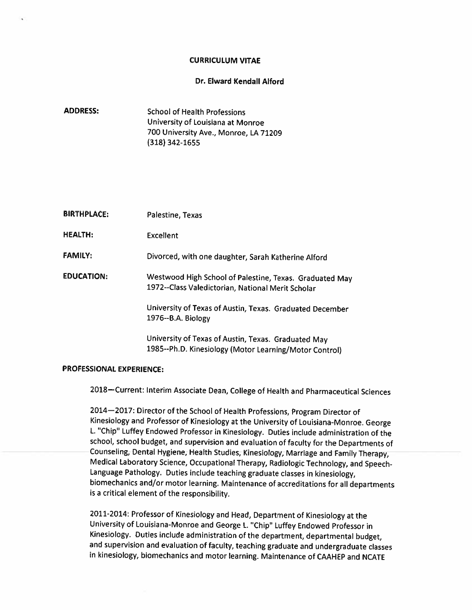#### **CURRICULUM VITAE**

#### Dr. Elward Kendall Alford

**ADDRESS: School of Health Professions** University of Louisiana at Monroe 700 University Ave., Monroe, LA 71209  $(318)$  342-1655

| <b>BIRTHPLACE:</b> | Palestine, Texas |  |
|--------------------|------------------|--|
|                    |                  |  |

**HEALTH: Excellent** 

**FAMILY:** Divorced, with one daughter, Sarah Katherine Alford

**EDUCATION:** Westwood High School of Palestine, Texas. Graduated May 1972--Class Valedictorian, National Merit Scholar

> University of Texas of Austin, Texas. Graduated December 1976--B.A. Biology

University of Texas of Austin, Texas. Graduated May 1985--Ph.D. Kinesiology (Motor Learning/Motor Control)

#### **PROFESSIONAL EXPERIENCE:**

2018-Current: Interim Associate Dean, College of Health and Pharmaceutical Sciences

2014-2017: Director of the School of Health Professions, Program Director of Kinesiology and Professor of Kinesiology at the University of Louisiana-Monroe. George L. "Chip" Luffey Endowed Professor in Kinesiology. Duties include administration of the school, school budget, and supervision and evaluation of faculty for the Departments of Counseling, Dental Hygiene, Health Studies, Kinesiology, Marriage and Family Therapy, Medical Laboratory Science, Occupational Therapy, Radiologic Technology, and Speech-Language Pathology. Duties include teaching graduate classes in kinesiology, biomechanics and/or motor learning. Maintenance of accreditations for all departments is a critical element of the responsibility.

2011-2014: Professor of Kinesiology and Head, Department of Kinesiology at the University of Louisiana-Monroe and George L. "Chip" Luffey Endowed Professor in Kinesiology. Duties include administration of the department, departmental budget, and supervision and evaluation of faculty, teaching graduate and undergraduate classes in kinesiology, biomechanics and motor learning. Maintenance of CAAHEP and NCATE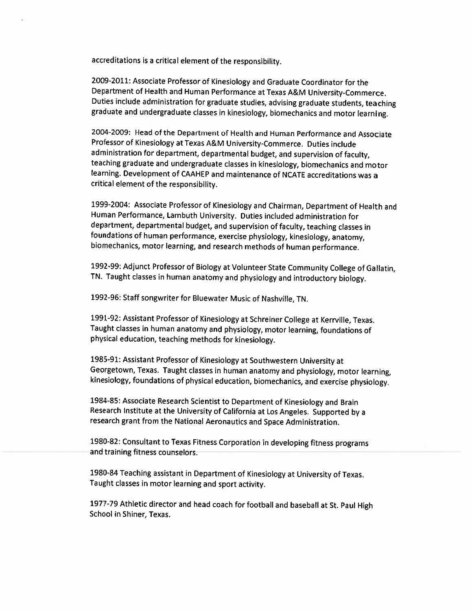accreditations is a critical element of the responsibility.

2009-2011: Associate Professor of Kinesiology and Graduate Coordinator for the Department of Health and Human Performance at Texas A&M University-Commerce. Duties include administration for graduate studies, advising graduate students, teaching graduate and undergraduate classes in kinesiology, biomechanics and motor learning.

2004-2009: Head of the Department of Health and Human Performance and Associate Professor of Kinesiology at Texas A&M University-Commerce. Duties include administration for department, departmental budget, and supervision of faculty, teaching graduate and undergraduate classes in kinesiology, biomechanics and motor learning. Development of CAAHEP and maintenance of NCATE accreditations was a critical element of the responsibility.

1999-2004: Associate Professor of Kinesiology and Chairman, Department of Health and Human Performance, Lambuth University. Duties included administration for department, departmental budget, and supervision of faculty, teaching classes in foundations of human performance, exercise physiology, kinesiology, anatomy, biomechanics, motor learning, and research methods of human performance.

1992-99: Adjunct Professor of Biology at Volunteer State Community College of Gallatin, TN. Taught classes in human anatomy and physiology and introductory biology.

1992-96: Staff songwriter for Bluewater Music of Nashville, TN.

1991-92: Assistant Professor of Kinesiology at Schreiner College at Kerrville, Texas. Taught classes in human anatomy and physiology, motor learning, foundations of physical education, teaching methods for kinesiology.

1985-91: Assistant Professor of Kinesiology at Southwestern University at Georgetown, Texas. Taught classes in human anatomy and physiology, motor learning, kinesiology, foundations of physical education, biomechanics, and exercise physiology.

1984-85: Associate Research Scientist to Department of Kinesiology and Brain Research Institute at the University of California at Los Angeles. Supported by a research grant from the National Aeronautics and Space Administration.

1980-82: Consultant to Texas Fitness Corporation in developing fitness programs and training fitness counselors.

1980-84 Teaching assistant in Department of Kinesiology at University of Texas. Taught classes in motor learning and sport activity.

1977-79 Athletic director and head coach for football and baseball at St. Paul High School in Shiner, Texas.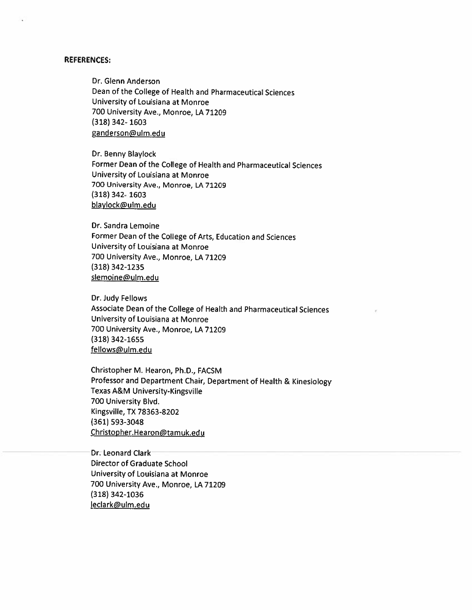#### **REFERENCES:**

Dr. Glenn Anderson Dean of the College of Health and Pharmaceutical Sciences University of Louisiana at Monroe 700 University Ave., Monroe, LA 71209  $(318)$  342-1603 ganderson@ulm.edu

Dr. Benny Blaylock Former Dean of the College of Health and Pharmaceutical Sciences University of Louisiana at Monroe 700 University Ave., Monroe, LA 71209  $(318)$  342-1603 blaylock@ulm.edu

Dr. Sandra Lemoine Former Dean of the College of Arts, Education and Sciences University of Louisiana at Monroe 700 University Ave., Monroe, LA 71209  $(318) 342 - 1235$ slemoine@ulm.edu

Dr. Judy Fellows Associate Dean of the College of Health and Pharmaceutical Sciences University of Louisiana at Monroe 700 University Ave., Monroe, LA 71209  $(318)$  342-1655 fellows@ulm.edu

Christopher M. Hearon, Ph.D., FACSM Professor and Department Chair, Department of Health & Kinesiology **Texas A&M University-Kingsville** 700 University Blvd. Kingsville, TX 78363-8202  $(361)$  593-3048 Christopher.Hearon@tamuk.edu

Dr. Leonard Clark Director of Graduate School University of Louisiana at Monroe 700 University Ave., Monroe, LA 71209  $(318) 342 - 1036$ leclark@ulm.edu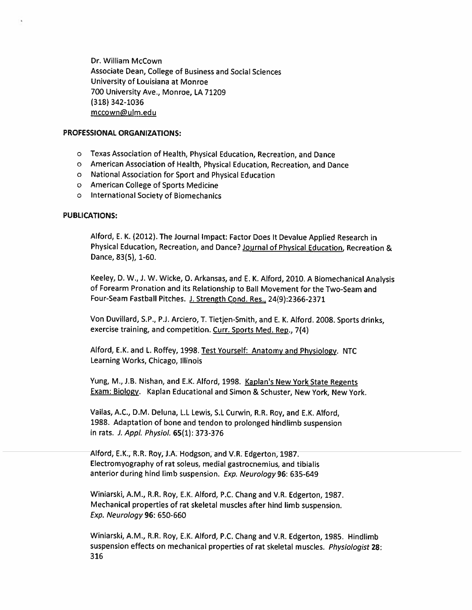Dr. William McCown Associate Dean, College of Business and Social Sciences University of Louisiana at Monroe 700 University Ave., Monroe, LA 71209  $(318)$  342-1036 mccown@ulm.edu

#### **PROFESSIONAL ORGANIZATIONS:**

- o Texas Association of Health, Physical Education, Recreation, and Dance
- o American Association of Health, Physical Education, Recreation, and Dance
- o National Association for Sport and Physical Education
- o American College of Sports Medicine
- o International Society of Biomechanics

#### **PUBLICATIONS:**

Alford, E. K. (2012). The Journal Impact: Factor Does It Devalue Applied Research in Physical Education, Recreation, and Dance? Journal of Physical Education, Recreation & Dance, 83(5), 1-60.

Keeley, D. W., J. W. Wicke, O. Arkansas, and E. K. Alford, 2010. A Biomechanical Analysis of Forearm Pronation and its Relationship to Ball Movement for the Two-Seam and Four-Seam Fastball Pitches. J. Strength Cond. Res., 24(9):2366-2371

Von Duvillard, S.P., P.J. Arciero, T. Tietjen-Smith, and E. K. Alford. 2008. Sports drinks, exercise training, and competition. Curr. Sports Med. Rep., 7(4)

Alford, E.K. and L. Roffey, 1998. Test Yourself: Anatomy and Physiology. NTC Learning Works, Chicago, Illinois

Yung, M., J.B. Nishan, and E.K. Alford, 1998. Kaplan's New York State Regents Exam: Biology. Kaplan Educational and Simon & Schuster, New York, New York.

Vailas, A.C., D.M. Deluna, L.L Lewis, S.L Curwin, R.R. Roy, and E.K. Alford, 1988. Adaptation of bone and tendon to prolonged hindlimb suspension in rats. J. Appl. Physiol. 65(1): 373-376

Alford, E.K., R.R. Roy, J.A. Hodgson, and V.R. Edgerton, 1987. Electromyography of rat soleus, medial gastrocnemius, and tibialis anterior during hind limb suspension. Exp. Neurology 96: 635-649

Winiarski, A.M., R.R. Roy, E.K. Alford, P.C. Chang and V.R. Edgerton, 1987. Mechanical properties of rat skeletal muscles after hind limb suspension. Exp. Neurology 96: 650-660

Winiarski, A.M., R.R. Roy, E.K. Alford, P.C. Chang and V.R. Edgerton, 1985. Hindlimb suspension effects on mechanical properties of rat skeletal muscles. Physiologist 28: 316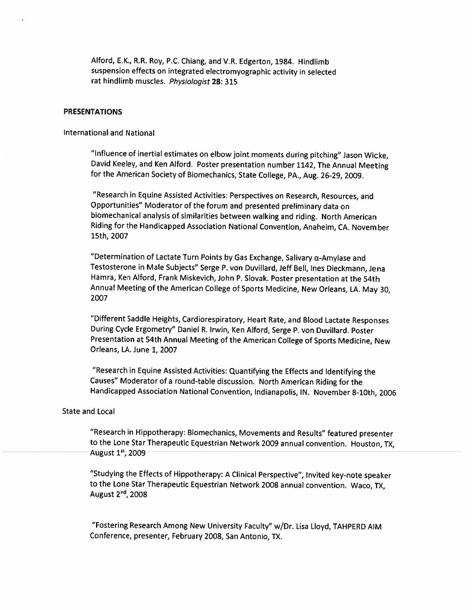Alford, E.K., R.R. Roy, P.C. Chiang, and V.R. Edgerton, 1984. Hindlimb suspension effects on integrated electromyographic activity in selected rat hindlimb muscles. Physiologist 28: 315

#### **PRESENTATIONS**

#### **International and National**

"Influence of inertial estimates on elbow joint moments during pitching" Jason Wicke, David Keeley, and Ken Alford. Poster presentation number 1142, The Annual Meeting for the American Society of Biomechanics, State College, PA., Aug. 26-29, 2009.

"Research in Equine Assisted Activities: Perspectives on Research, Resources, and Opportunities" Moderator of the forum and presented preliminary data on biomechanical analysis of similarities between walking and riding. North American Riding for the Handicapped Association National Convention, Anaheim, CA. November 15th, 2007

"Determination of Lactate Turn Points by Gas Exchange, Salivary  $\alpha$ -Amylase and Testosterone in Male Subjects" Serge P. von Duvillard, Jeff Bell, Ines Dieckmann, Jena Hamra, Ken Alford, Frank Miskevich, John P. Slovak. Poster presentation at the 54th Annual Meeting of the American College of Sports Medicine, New Orleans, LA. May 30, 2007

"Different Saddle Heights, Cardiorespiratory, Heart Rate, and Blood Lactate Responses During Cycle Ergometry" Daniel R. Irwin, Ken Alford, Serge P. von Duvillard. Poster Presentation at 54th Annual Meeting of the American College of Sports Medicine, New Orleans, LA. June 1, 2007

"Research in Equine Assisted Activities: Quantifying the Effects and Identifying the Causes" Moderator of a round-table discussion. North American Riding for the Handicapped Association National Convention, Indianapolis, IN. November 8-10th, 2006

#### **State and Local**

"Research in Hippotherapy: Biomechanics, Movements and Results" featured presenter to the Lone Star Therapeutic Equestrian Network 2009 annual convention. Houston, TX, August 1st, 2009

"Studying the Effects of Hippotherapy: A Clinical Perspective", Invited key-note speaker to the Lone Star Therapeutic Equestrian Network 2008 annual convention. Waco, TX, August 2<sup>nd</sup>, 2008

"Fostering Research Among New University Faculty" w/Dr. Lisa Lloyd, TAHPERD AIM Conference, presenter, February 2008, San Antonio, TX.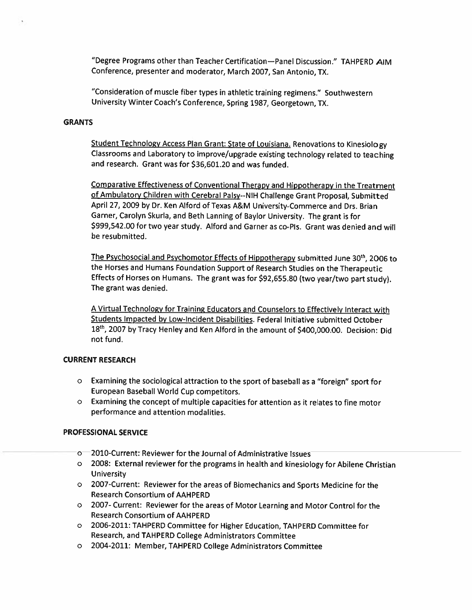"Degree Programs other than Teacher Certification-Panel Discussion." TAHPERD AIM Conference, presenter and moderator, March 2007, San Antonio, TX.

"Consideration of muscle fiber types in athletic training regimens." Southwestern University Winter Coach's Conference, Spring 1987, Georgetown, TX.

#### **GRANTS**

Student Technology Access Plan Grant: State of Louisiana. Renovations to Kinesiology Classrooms and Laboratory to improve/upgrade existing technology related to teaching and research. Grant was for \$36,601.20 and was funded.

Comparative Effectiveness of Conventional Therapy and Hippotherapy in the Treatment of Ambulatory Children with Cerebral Palsy--NIH Challenge Grant Proposal, Submitted April 27, 2009 by Dr. Ken Alford of Texas A&M University-Commerce and Drs. Brian Garner, Carolyn Skurla, and Beth Lanning of Baylor University. The grant is for \$999,542.00 for two year study. Alford and Garner as co-Pls. Grant was denied and will be resubmitted.

The Psychosocial and Psychomotor Effects of Hippotherapy submitted June 30th, 2006 to the Horses and Humans Foundation Support of Research Studies on the Therapeutic Effects of Horses on Humans. The grant was for \$92,655.80 (two year/two part study). The grant was denied.

A Virtual Technology for Training Educators and Counselors to Effectively Interact with Students Impacted by Low-Incident Disabilities. Federal Initiative submitted October 18th, 2007 by Tracy Henley and Ken Alford in the amount of \$400,000.00. Decision: Did not fund.

## **CURRENT RESEARCH**

- o Examining the sociological attraction to the sport of baseball as a "foreign" sport for European Baseball World Cup competitors.
- o Examining the concept of multiple capacities for attention as it relates to fine motor performance and attention modalities.

#### **PROFESSIONAL SERVICE**

- o 2010-Current: Reviewer for the Journal of Administrative Issues
- o 2008: External reviewer for the programs in health and kinesiology for Abilene Christian University
- o 2007-Current: Reviewer for the areas of Biomechanics and Sports Medicine for the **Research Consortium of AAHPERD**
- o 2007- Current: Reviewer for the areas of Motor Learning and Motor Control for the **Research Consortium of AAHPERD**
- o 2006-2011: TAHPERD Committee for Higher Education, TAHPERD Committee for Research, and TAHPERD College Administrators Committee
- o 2004-2011: Member, TAHPERD College Administrators Committee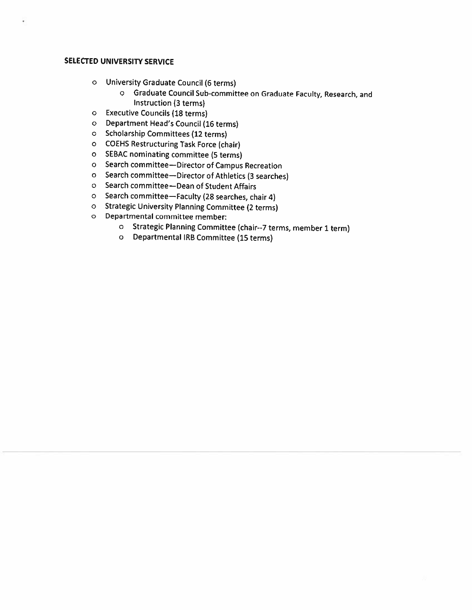### **SELECTED UNIVERSITY SERVICE**

- o University Graduate Council (6 terms)
	- o Graduate Council Sub-committee on Graduate Faculty, Research, and Instruction (3 terms)
- o Executive Councils (18 terms)
- o Department Head's Council (16 terms)
- o Scholarship Committees (12 terms)
- O COEHS Restructuring Task Force (chair)
- o SEBAC nominating committee (5 terms)
- o Search committee-Director of Campus Recreation
- o Search committee-Director of Athletics (3 searches)
- o Search committee-Dean of Student Affairs
- o Search committee-Faculty (28 searches, chair 4)
- o Strategic University Planning Committee (2 terms)
- o Departmental committee member:
	- o Strategic Planning Committee (chair--7 terms, member 1 term)
	- o Departmental IRB Committee (15 terms)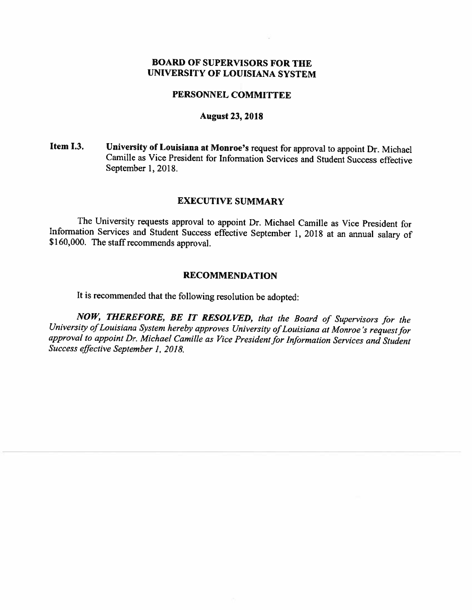## **BOARD OF SUPERVISORS FOR THE** UNIVERSITY OF LOUISIANA SYSTEM

## PERSONNEL COMMITTEE

## **August 23, 2018**

Item I.3. University of Louisiana at Monroe's request for approval to appoint Dr. Michael Camille as Vice President for Information Services and Student Success effective September 1, 2018.

## **EXECUTIVE SUMMARY**

The University requests approval to appoint Dr. Michael Camille as Vice President for Information Services and Student Success effective September 1, 2018 at an annual salary of \$160,000. The staff recommends approval.

## **RECOMMENDATION**

It is recommended that the following resolution be adopted:

NOW, THEREFORE, BE IT RESOLVED, that the Board of Supervisors for the University of Louisiana System hereby approves University of Louisiana at Monroe's request for approval to appoint Dr. Michael Camille as Vice President for Information Services and Student Success effective September 1, 2018.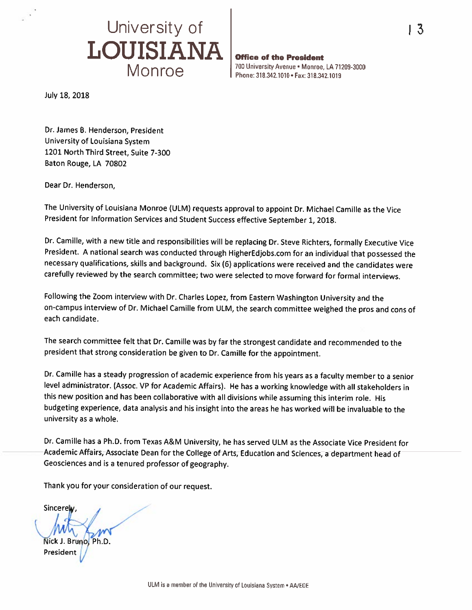

Office of the President 700 University Avenue . Monroe, LA 71209-3000 Phone: 318.342.1010 · Fax: 318.342.1019

July 18, 2018

Dr. James B. Henderson, President University of Louisiana System 1201 North Third Street, Suite 7-300 Baton Rouge, LA 70802

Dear Dr. Henderson,

The University of Louisiana Monroe (ULM) requests approval to appoint Dr. Michael Camille as the Vice President for Information Services and Student Success effective September 1, 2018.

Dr. Camille, with a new title and responsibilities will be replacing Dr. Steve Richters, formally Executive Vice President. A national search was conducted through HigherEdjobs.com for an individual that possessed the necessary qualifications, skills and background. Six (6) applications were received and the candidates were carefully reviewed by the search committee; two were selected to move forward for formal interviews.

Following the Zoom interview with Dr. Charles Lopez, from Eastern Washington University and the on-campus interview of Dr. Michael Camille from ULM, the search committee weighed the pros and cons of each candidate.

The search committee felt that Dr. Camille was by far the strongest candidate and recommended to the president that strong consideration be given to Dr. Camille for the appointment.

Dr. Camille has a steady progression of academic experience from his years as a faculty member to a senior level administrator. (Assoc. VP for Academic Affairs). He has a working knowledge with all stakeholders in this new position and has been collaborative with all divisions while assuming this interim role. His budgeting experience, data analysis and his insight into the areas he has worked will be invaluable to the university as a whole.

Dr. Camille has a Ph.D. from Texas A&M University, he has served ULM as the Associate Vice President for Academic Affairs, Associate Dean for the College of Arts, Education and Sciences, a department head of Geosciences and is a tenured professor of geography.

Thank you for your consideration of our request.

Sincerely Nick J. Brunol Ph.D. President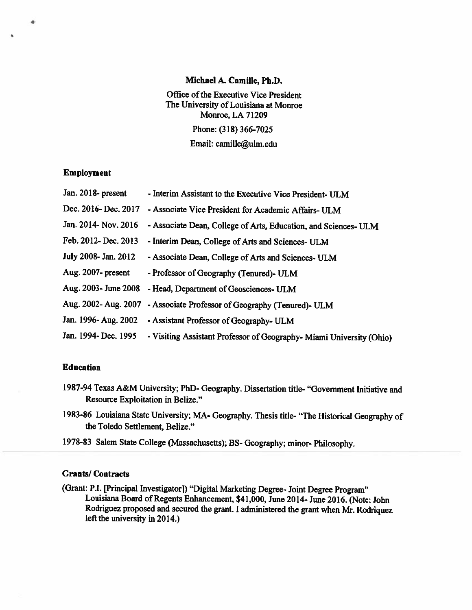#### Michael A. Camille, Ph.D.

Office of the Executive Vice President The University of Louisiana at Monroe Monroe, LA 71209 Phone: (318) 366-7025 Email: camille@ulm.edu

#### **Employment**

۰

| Jan. 2018- present    | - Interim Assistant to the Executive Vice President- ULM             |
|-----------------------|----------------------------------------------------------------------|
| Dec. 2016- Dec. 2017  | - Associate Vice President for Academic Affairs- ULM                 |
| Jan. 2014- Nov. 2016  | - Associate Dean, College of Arts, Education, and Sciences- ULM      |
| Feb. 2012- Dec. 2013  | - Interim Dean, College of Arts and Sciences- ULM                    |
| July 2008- Jan. 2012  | - Associate Dean, College of Arts and Sciences- ULM                  |
| Aug. 2007- present    | - Professor of Geography (Tenured)- ULM                              |
| Aug. 2003 - June 2008 | - Head, Department of Geosciences- ULM                               |
| Aug. 2002- Aug. 2007  | - Associate Professor of Geography (Tenured)- ULM                    |
| Jan. 1996- Aug. 2002  | - Assistant Professor of Geography- ULM                              |
| Jan. 1994- Dec. 1995  | - Visiting Assistant Professor of Geography- Miami University (Ohio) |

#### **Education**

- 1987-94 Texas A&M University; PhD- Geography. Dissertation title- "Government Initiative and Resource Exploitation in Belize."
- 1983-86 Louisiana State University; MA- Geography. Thesis title- "The Historical Geography of the Toledo Settlement, Belize."
- 1978-83 Salem State College (Massachusetts); BS- Geography; minor-Philosophy.

## **Grants/Contracts**

(Grant: P.I. [Principal Investigator]) "Digital Marketing Degree- Joint Degree Program" Louisiana Board of Regents Enhancement, \$41,000, June 2014- June 2016. (Note: John Rodriguez proposed and secured the grant. I administered the grant when Mr. Rodriquez left the university in  $2014$ .)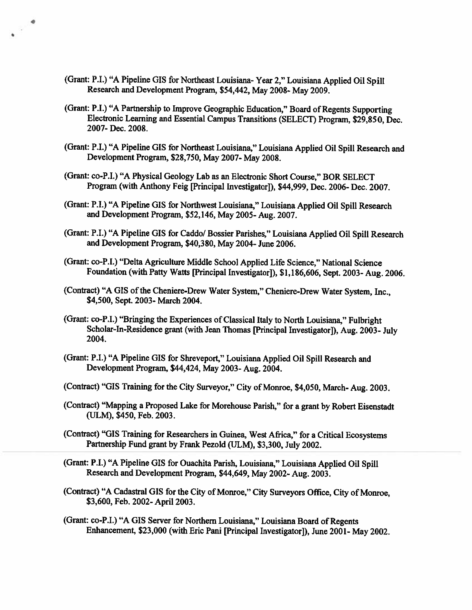(Grant: P.I.) "A Pipeline GIS for Northeast Louisiana-Year 2," Louisiana Applied Oil Spill Research and Development Program, \$54,442, May 2008- May 2009.

 $\sim$ 

- (Grant: P.I.) "A Partnership to Improve Geographic Education," Board of Regents Supporting Electronic Learning and Essential Campus Transitions (SELECT) Program, \$29,850, Dec. 2007-Dec. 2008.
- (Grant: P.I.) "A Pipeline GIS for Northeast Louisiana," Louisiana Applied Oil Spill Research and Development Program, \$28,750, May 2007- May 2008.
- (Grant: co-P.I.) "A Physical Geology Lab as an Electronic Short Course." BOR SELECT Program (with Anthony Feig [Principal Investigator]), \$44,999, Dec. 2006- Dec. 2007.
- (Grant: P.I.) "A Pipeline GIS for Northwest Louisiana," Louisiana Applied Oil Spill Research and Development Program, \$52,146, May 2005-Aug. 2007.
- (Grant: P.I.) "A Pipeline GIS for Caddo/ Bossier Parishes," Louisiana Applied Oil Spill Research and Development Program, \$40,380, May 2004- June 2006.
- (Grant: co-P.I.) "Delta Agriculture Middle School Applied Life Science," National Science Foundation (with Patty Watts [Principal Investigator]), \$1,186,606, Sept. 2003- Aug. 2006.
- (Contract) "A GIS of the Cheniere-Drew Water System," Cheniere-Drew Water System, Inc., \$4,500, Sept. 2003- March 2004.
- (Grant: co-P.I.) "Bringing the Experiences of Classical Italy to North Louisiana," Fulbright Scholar-In-Residence grant (with Jean Thomas [Principal Investigator]), Aug. 2003- July 2004.
- (Grant: P.I.) "A Pipeline GIS for Shreveport," Louisiana Applied Oil Spill Research and Development Program, \$44,424, May 2003-Aug. 2004.
- (Contract) "GIS Training for the City Surveyor," City of Monroe, \$4,050, March-Aug. 2003.
- (Contract) "Mapping a Proposed Lake for Morehouse Parish," for a grant by Robert Eisenstadt (ULM), \$450, Feb. 2003.
- (Contract) "GIS Training for Researchers in Guinea, West Africa," for a Critical Ecosystems Partnership Fund grant by Frank Pezold (ULM), \$3,300, July 2002.
- (Grant: P.I.) "A Pipeline GIS for Ouachita Parish, Louisiana," Louisiana Applied Oil Spill Research and Development Program, \$44,649, May 2002-Aug. 2003.
- (Contract) "A Cadastral GIS for the City of Monroe," City Surveyors Office, City of Monroe, \$3,600, Feb. 2002- April 2003.
- (Grant: co-P.I.) "A GIS Server for Northern Louisiana," Louisiana Board of Regents Enhancement, \$23,000 (with Eric Pani [Principal Investigator]), June 2001- May 2002.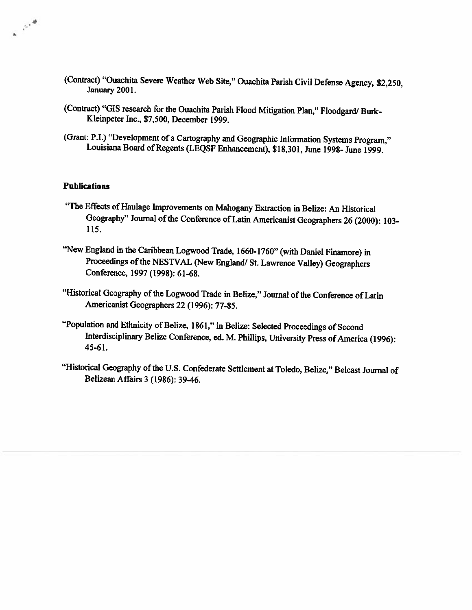- (Contract) "Ouachita Severe Weather Web Site," Ouachita Parish Civil Defense Agency, \$2,250, January 2001.
- (Contract) "GIS research for the Ouachita Parish Flood Mitigation Plan," Floodgard/ Burk-Kleinpeter Inc., \$7,500, December 1999.
- (Grant: P.I.) "Development of a Cartography and Geographic Information Systems Program." Louisiana Board of Regents (LEQSF Enhancement), \$18,301, June 1998- June 1999.

## **Publications**

 $e^{-\beta x^2}$ 

- "The Effects of Haulage Improvements on Mahogany Extraction in Belize: An Historical Geography" Journal of the Conference of Latin Americanist Geographers 26 (2000): 103-115.
- "New England in the Caribbean Logwood Trade, 1660-1760" (with Daniel Finamore) in Proceedings of the NESTVAL (New England/ St. Lawrence Valley) Geographers Conference, 1997 (1998): 61-68.
- "Historical Geography of the Logwood Trade in Belize," Journal of the Conference of Latin Americanist Geographers 22 (1996): 77-85.
- "Population and Ethnicity of Belize, 1861," in Belize: Selected Proceedings of Second Interdisciplinary Belize Conference, ed. M. Phillips, University Press of America (1996):  $45 - 61.$
- "Historical Geography of the U.S. Confederate Settlement at Toledo, Belize," Belcast Journal of Belizean Affairs 3 (1986): 39-46.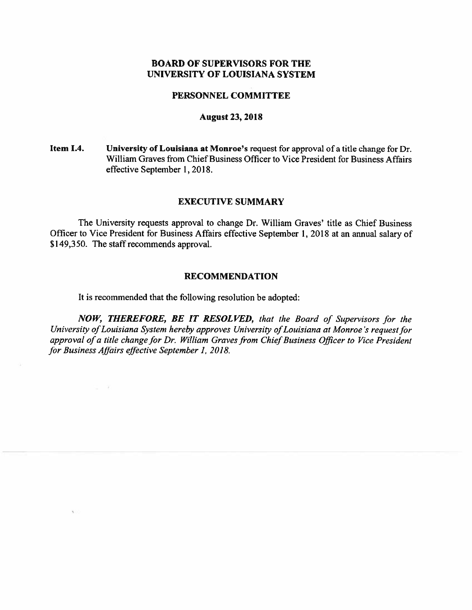## **BOARD OF SUPERVISORS FOR THE** UNIVERSITY OF LOUISIANA SYSTEM

#### PERSONNEL COMMITTEE

#### **August 23, 2018**

Item I.4. University of Louisiana at Monroe's request for approval of a title change for Dr. William Graves from Chief Business Officer to Vice President for Business Affairs effective September 1, 2018.

#### **EXECUTIVE SUMMARY**

The University requests approval to change Dr. William Graves' title as Chief Business Officer to Vice President for Business Affairs effective September 1, 2018 at an annual salary of \$149,350. The staff recommends approval.

#### **RECOMMENDATION**

It is recommended that the following resolution be adopted:

 $\omega = T$  .

 $\tilde{\chi}$  .

NOW, THEREFORE, BE IT RESOLVED, that the Board of Supervisors for the University of Louisiana System hereby approves University of Louisiana at Monroe's request for approval of a title change for Dr. William Graves from Chief Business Officer to Vice President for Business Affairs effective September 1, 2018.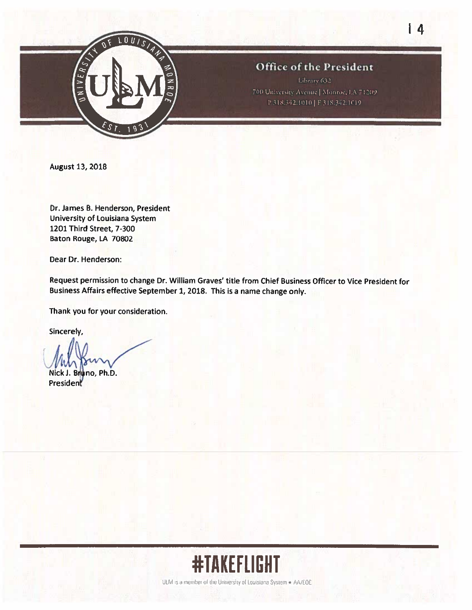

**August 13, 2018** 

Dr. James B. Henderson, President University of Louisiana System 1201 Third Street, 7-300 Baton Rouge, LA 70802

Dear Dr. Henderson:

Request permission to change Dr. William Graves' title from Chief Business Officer to Vice President for Business Affairs effective September 1, 2018. This is a name change only.

Thank you for your consideration.

Sincerely,

Nick J. Bruno, Ph.D. President



UEM is a member of the University of Louisiana System . AA/EOE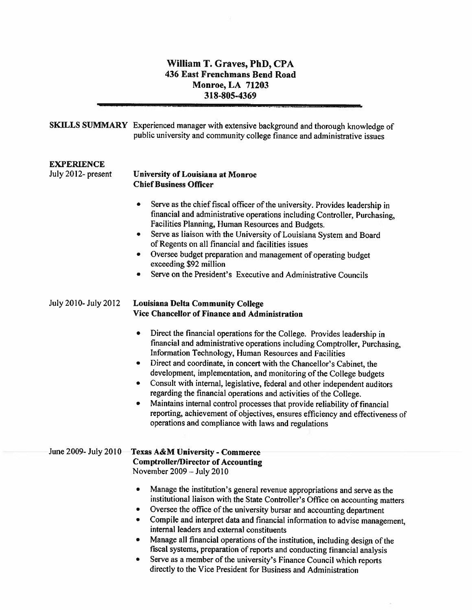## William T. Graves, PhD, CPA 436 East Frenchmans Bend Road **Monroe, LA 71203** 318-805-4369

|                                         | SKILLS SUMMARY Experienced manager with extensive background and thorough knowledge of<br>public university and community college finance and administrative issues                                                                                                                                                                                                                                                                                                                                                                                                                                                                                                                                                                                                                                                                                |
|-----------------------------------------|----------------------------------------------------------------------------------------------------------------------------------------------------------------------------------------------------------------------------------------------------------------------------------------------------------------------------------------------------------------------------------------------------------------------------------------------------------------------------------------------------------------------------------------------------------------------------------------------------------------------------------------------------------------------------------------------------------------------------------------------------------------------------------------------------------------------------------------------------|
| <b>EXPERIENCE</b><br>July 2012- present | <b>University of Louisiana at Monroe</b><br><b>Chief Business Officer</b><br>Serve as the chief fiscal officer of the university. Provides leadership in<br>financial and administrative operations including Controller, Purchasing,<br>Facilities Planning, Human Resources and Budgets.<br>Serve as liaison with the University of Louisiana System and Board<br>۰<br>of Regents on all financial and facilities issues<br>Oversee budget preparation and management of operating budget<br>۰<br>exceeding \$92 million<br>Serve on the President's Executive and Administrative Councils<br>٠                                                                                                                                                                                                                                                  |
| July 2010- July 2012                    | <b>Louisiana Delta Community College</b><br>Vice Chancellor of Finance and Administration<br>Direct the financial operations for the College. Provides leadership in<br>financial and administrative operations including Comptroller, Purchasing,<br>Information Technology, Human Resources and Facilities<br>Direct and coordinate, in concert with the Chancellor's Cabinet, the<br>٠<br>development, implementation, and monitoring of the College budgets<br>Consult with internal, legislative, federal and other independent auditors<br>۰<br>regarding the financial operations and activities of the College.<br>Maintains internal control processes that provide reliability of financial<br>٠<br>reporting, achievement of objectives, ensures efficiency and effectiveness of<br>operations and compliance with laws and regulations |
| June 2009- July 2010                    | Texas A&M University - Commerce<br><b>Comptroller/Director of Accounting</b><br>November $2009 - July 2010$<br>Manage the institution's general revenue appropriations and serve as the<br>۰<br>institutional liaison with the State Controller's Office on accounting matters<br>Oversee the office of the university bursar and accounting department<br>Compile and interpret data and financial information to advise management,<br>internal leaders and external constituents<br>Manage all financial operations of the institution, including design of the<br>fiscal systems, preparation of reports and conducting financial analysis                                                                                                                                                                                                     |

Serve as a member of the university's Finance Council which reports<br>directly to the Vice President for Business and Administration  $\bullet$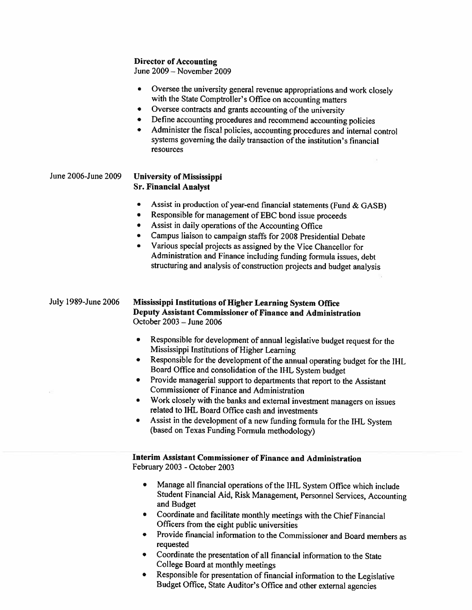## **Director of Accounting**

June  $2009 -$ November 2009

- Oversee the university general revenue appropriations and work closely  $\bullet$ with the State Comptroller's Office on accounting matters
- Oversee contracts and grants accounting of the university  $\bullet$
- Define accounting procedures and recommend accounting policies  $\bullet$
- Administer the fiscal policies, accounting procedures and internal control systems governing the daily transaction of the institution's financial resources

| June 2006-June 2009 | <b>University of Mississippi</b> |
|---------------------|----------------------------------|
|                     | <b>Sr. Financial Analyst</b>     |

- Assist in production of year-end financial statements (Fund & GASB)  $\bullet$
- Responsible for management of EBC bond issue proceeds  $\bullet$
- Assist in daily operations of the Accounting Office  $\bullet$
- Campus liaison to campaign staffs for 2008 Presidential Debate
- Various special projects as assigned by the Vice Chancellor for Administration and Finance including funding formula issues, debt structuring and analysis of construction projects and budget analysis

July 1989-June 2006 Mississippi Institutions of Higher Learning System Office Deputy Assistant Commissioner of Finance and Administration October 2003 - June 2006

- $\bullet$ Responsible for development of annual legislative budget request for the Mississippi Institutions of Higher Learning
- Responsible for the development of the annual operating budget for the IHL  $\bullet$ Board Office and consolidation of the IHL System budget
- Provide managerial support to departments that report to the Assistant  $\bullet$ Commissioner of Finance and Administration
- Work closely with the banks and external investment managers on issues related to IHL Board Office cash and investments
- Assist in the development of a new funding formula for the IHL System (based on Texas Funding Formula methodology)

Interim Assistant Commissioner of Finance and Administration February 2003 - October 2003

- Manage all financial operations of the IHL System Office which include  $\bullet$ Student Financial Aid, Risk Management, Personnel Services, Accounting and Budget
- Coordinate and facilitate monthly meetings with the Chief Financial Officers from the eight public universities
- Provide financial information to the Commissioner and Board members as  $\bullet$ requested
- Coordinate the presentation of all financial information to the State College Board at monthly meetings
- Responsible for presentation of financial information to the Legislative  $\bullet$ Budget Office, State Auditor's Office and other external agencies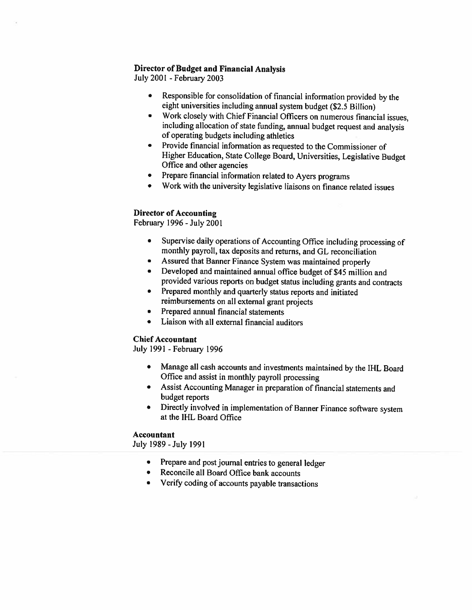## **Director of Budget and Financial Analysis**

July 2001 - February 2003

- Responsible for consolidation of financial information provided by the  $\bullet$ eight universities including annual system budget (\$2.5 Billion)
- Work closely with Chief Financial Officers on numerous financial issues,  $\bullet$ including allocation of state funding, annual budget request and analysis of operating budgets including athletics
- Provide financial information as requested to the Commissioner of  $\bullet$ Higher Education, State College Board, Universities, Legislative Budget Office and other agencies
- Prepare financial information related to Ayers programs  $\bullet$
- Work with the university legislative liaisons on finance related issues

## **Director of Accounting**

February 1996 - July 2001

- Supervise daily operations of Accounting Office including processing of  $\bullet$ monthly payroll, tax deposits and returns, and GL reconciliation
- Assured that Banner Finance System was maintained properly  $\bullet$
- Developed and maintained annual office budget of \$45 million and  $\bullet$ provided various reports on budget status including grants and contracts
- Prepared monthly and quarterly status reports and initiated  $\bullet$ reimbursements on all external grant projects
- $\bullet$ Prepared annual financial statements
- Liaison with all external financial auditors  $\bullet$

#### **Chief Accountant**

July 1991 - February 1996

- Manage all cash accounts and investments maintained by the IHL Board Office and assist in monthly payroll processing
- Assist Accounting Manager in preparation of financial statements and budget reports
- Directly involved in implementation of Banner Finance software system at the IHL Board Office

#### **Accountant**

July 1989 - July 1991

- Prepare and post journal entries to general ledger
- Reconcile all Board Office bank accounts
- Verify coding of accounts payable transactions